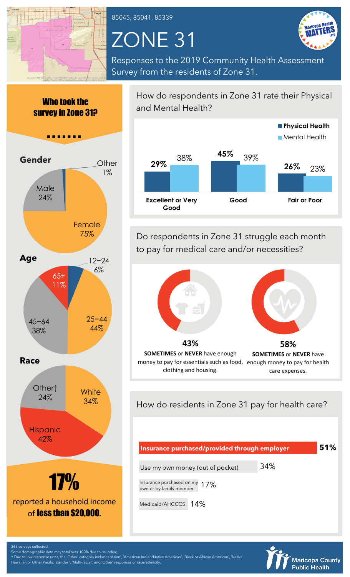

Who took the

85045, 85041, 85339

# ZONE 31



Responses to the 2019 Community Health Assessment Survey from the residents of Zone 31.



How do respondents in Zone 31 rate their Physical and Mental Health?



Do respondents in Zone 31 struggle each month to pay for medical care and/or necessities?



## How do residents in Zone 31 pay for health care?

| Insurance purchased/provided through employer |     | 51% |
|-----------------------------------------------|-----|-----|
| Use my own money (out of pocket)              | 34% |     |

Use my own money (out of pocket)

Insurance purchased on my<br>own or by family member own or by family member

Medicaid/AHCCCS 14%



363 surveys collected.

Some demographic data may total over 100% due to rounding. † Due to low response rates, the 'Other' category includes 'Asian', 'American Indian/Native American', 'Black or African American', 'Native Hawaiian or Other Pacific Islander ', 'Multi-racial', and 'Other' responses or race/ethnicity.